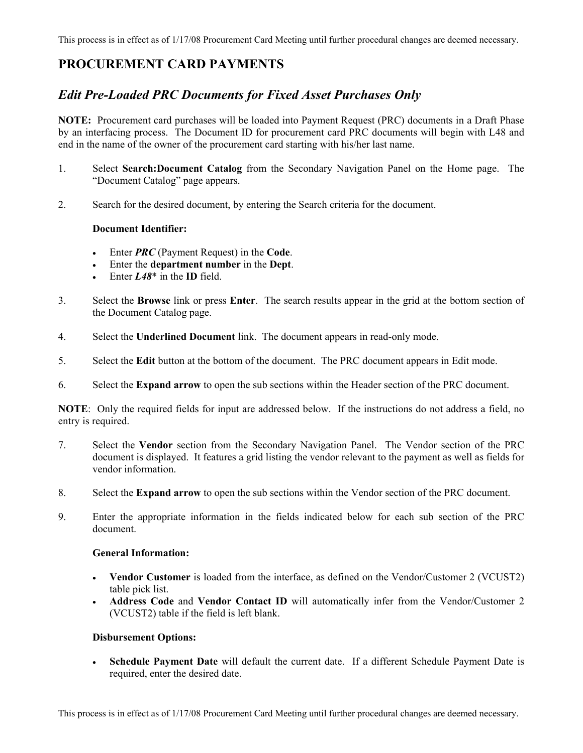# **PROCUREMENT CARD PAYMENTS**

# *Edit Pre-Loaded PRC Documents for Fixed Asset Purchases Only*

**NOTE:** Procurement card purchases will be loaded into Payment Request (PRC) documents in a Draft Phase by an interfacing process. The Document ID for procurement card PRC documents will begin with L48 and end in the name of the owner of the procurement card starting with his/her last name.

- 1. Select **Search:Document Catalog** from the Secondary Navigation Panel on the Home page. The "Document Catalog" page appears.
- 2. Search for the desired document, by entering the Search criteria for the document.

# **Document Identifier:**

- Enter *PRC* (Payment Request) in the **Code**.
- Enter the **department number** in the **Dept**.
- Enter *L48*\* in the **ID** field.
- 3. Select the **Browse** link or press **Enter**. The search results appear in the grid at the bottom section of the Document Catalog page.
- 4. Select the **Underlined Document** link. The document appears in read-only mode.
- 5. Select the **Edit** button at the bottom of the document. The PRC document appears in Edit mode.
- 6. Select the **Expand arrow** to open the sub sections within the Header section of the PRC document.

**NOTE**: Only the required fields for input are addressed below. If the instructions do not address a field, no entry is required.

- 7. Select the **Vendor** section from the Secondary Navigation Panel. The Vendor section of the PRC document is displayed. It features a grid listing the vendor relevant to the payment as well as fields for vendor information.
- 8. Select the **Expand arrow** to open the sub sections within the Vendor section of the PRC document.
- 9. Enter the appropriate information in the fields indicated below for each sub section of the PRC document.

#### **General Information:**

- **Vendor Customer** is loaded from the interface, as defined on the Vendor/Customer 2 (VCUST2) table pick list.
- **Address Code** and **Vendor Contact ID** will automatically infer from the Vendor/Customer 2 (VCUST2) table if the field is left blank.

# **Disbursement Options:**

• **Schedule Payment Date** will default the current date. If a different Schedule Payment Date is required, enter the desired date.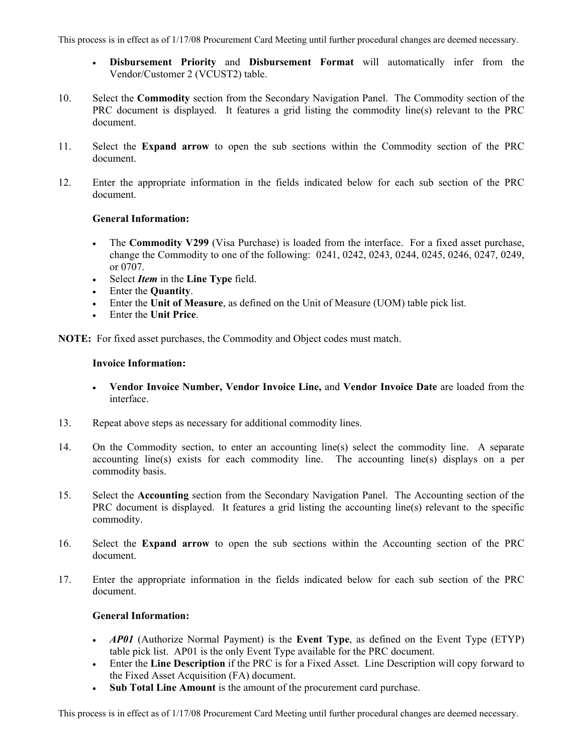This process is in effect as of 1/17/08 Procurement Card Meeting until further procedural changes are deemed necessary.

- **Disbursement Priority** and **Disbursement Format** will automatically infer from the Vendor/Customer 2 (VCUST2) table.
- 10. Select the **Commodity** section from the Secondary Navigation Panel. The Commodity section of the PRC document is displayed. It features a grid listing the commodity line(s) relevant to the PRC document.
- 11. Select the **Expand arrow** to open the sub sections within the Commodity section of the PRC document.
- 12. Enter the appropriate information in the fields indicated below for each sub section of the PRC document.

#### **General Information:**

- The **Commodity V299** (Visa Purchase) is loaded from the interface. For a fixed asset purchase, change the Commodity to one of the following: 0241, 0242, 0243, 0244, 0245, 0246, 0247, 0249, or 0707.
- Select *Item* in the **Line Type** field.
- Enter the **Quantity**.
- Enter the **Unit of Measure**, as defined on the Unit of Measure (UOM) table pick list.
- Enter the **Unit Price**.

**NOTE:** For fixed asset purchases, the Commodity and Object codes must match.

#### **Invoice Information:**

- **Vendor Invoice Number, Vendor Invoice Line,** and **Vendor Invoice Date** are loaded from the interface.
- 13. Repeat above steps as necessary for additional commodity lines.
- 14. On the Commodity section, to enter an accounting line(s) select the commodity line. A separate accounting line(s) exists for each commodity line. The accounting line(s) displays on a per commodity basis.
- 15. Select the **Accounting** section from the Secondary Navigation Panel. The Accounting section of the PRC document is displayed. It features a grid listing the accounting line(s) relevant to the specific commodity.
- 16. Select the **Expand arrow** to open the sub sections within the Accounting section of the PRC document.
- 17. Enter the appropriate information in the fields indicated below for each sub section of the PRC document.

# **General Information:**

- *AP01* (Authorize Normal Payment) is the **Event Type**, as defined on the Event Type (ETYP) table pick list. AP01 is the only Event Type available for the PRC document.
- Enter the **Line Description** if the PRC is for a Fixed Asset. Line Description will copy forward to the Fixed Asset Acquisition (FA) document.
- **Sub Total Line Amount** is the amount of the procurement card purchase.

This process is in effect as of 1/17/08 Procurement Card Meeting until further procedural changes are deemed necessary.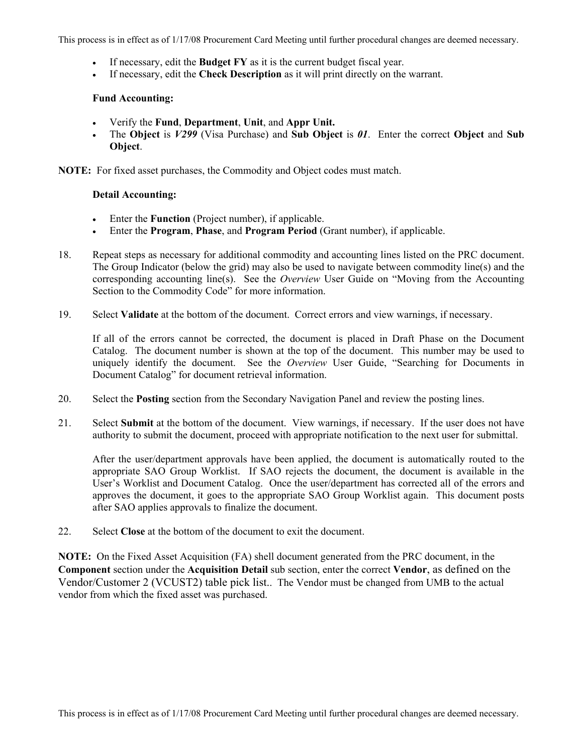This process is in effect as of 1/17/08 Procurement Card Meeting until further procedural changes are deemed necessary.

- If necessary, edit the **Budget FY** as it is the current budget fiscal year.
- If necessary, edit the **Check Description** as it will print directly on the warrant.

#### **Fund Accounting:**

- Verify the **Fund**, **Department**, **Unit**, and **Appr Unit.**
- The **Object** is *V299* (Visa Purchase) and **Sub Object** is *01*. Enter the correct **Object** and **Sub Object**.

**NOTE:** For fixed asset purchases, the Commodity and Object codes must match.

#### **Detail Accounting:**

- Enter the **Function** (Project number), if applicable.
- Enter the **Program**, **Phase**, and **Program Period** (Grant number), if applicable.
- 18. Repeat steps as necessary for additional commodity and accounting lines listed on the PRC document. The Group Indicator (below the grid) may also be used to navigate between commodity line(s) and the corresponding accounting line(s). See the *Overview* User Guide on "Moving from the Accounting Section to the Commodity Code" for more information.
- 19. Select **Validate** at the bottom of the document. Correct errors and view warnings, if necessary.

If all of the errors cannot be corrected, the document is placed in Draft Phase on the Document Catalog. The document number is shown at the top of the document. This number may be used to uniquely identify the document. See the *Overview* User Guide, "Searching for Documents in Document Catalog" for document retrieval information.

- 20. Select the **Posting** section from the Secondary Navigation Panel and review the posting lines.
- 21. Select **Submit** at the bottom of the document. View warnings, if necessary. If the user does not have authority to submit the document, proceed with appropriate notification to the next user for submittal.

After the user/department approvals have been applied, the document is automatically routed to the appropriate SAO Group Worklist. If SAO rejects the document, the document is available in the User's Worklist and Document Catalog. Once the user/department has corrected all of the errors and approves the document, it goes to the appropriate SAO Group Worklist again. This document posts after SAO applies approvals to finalize the document.

22. Select **Close** at the bottom of the document to exit the document.

**NOTE:** On the Fixed Asset Acquisition (FA) shell document generated from the PRC document, in the **Component** section under the **Acquisition Detail** sub section, enter the correct **Vendor**, as defined on the Vendor/Customer 2 (VCUST2) table pick list.. The Vendor must be changed from UMB to the actual vendor from which the fixed asset was purchased.